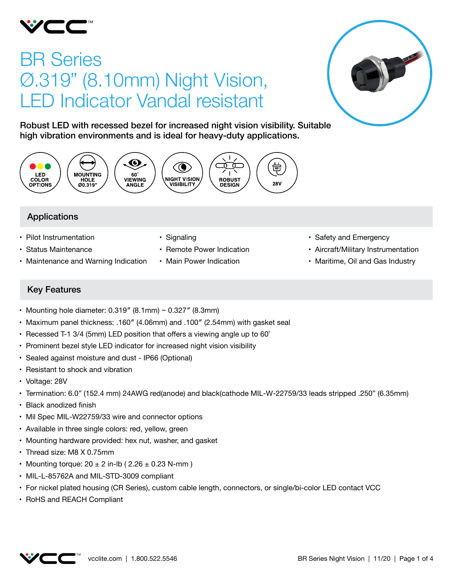

# BR Series Ø.319" (8.10mm) Night Vision, LED Indicator Vandal resistant



Robust LED with recessed bezel for increased night vision visibility. Suitable high vibration environments and is ideal for heavy-duty applications.



## Applications

- Pilot Instrumentation
- • Status Maintenance
- Maintenance and Warning Indication
- Signaling
- Remote Power Indication
- Main Power Indication
- Safety and Emergency
- • Aircraft/Military Instrumentation
- Maritime, Oil and Gas Industry

## Key Features

- Mounting hole diameter:  $0.319''$  (8.1mm) ~  $0.327''$  (8.3mm)
- Maximum panel thickness: .160" (4.06mm) and .100" (2.54mm) with gasket seal
- Recessed T-1 3/4 (5mm) LED position that offers a viewing angle up to  $60^\circ$
- Prominent bezel style LED indicator for increased night vision visibility
- Sealed against moisture and dust IP66 (Optional)
- Resistant to shock and vibration
- • Voltage: 28V
- • Termination: 6.0" (152.4 mm) 24AWG red(anode) and black(cathode MIL-W-22759/33 leads stripped .250" (6.35mm)
- Black anodized finish
- Mil Spec MIL-W22759/33 wire and connector options
- Available in three single colors: red, yellow, green
- Mounting hardware provided: hex nut, washer, and gasket
- Thread size: M8 X 0.75mm
- Mounting torque:  $20 \pm 2$  in-lb (  $2.26 \pm 0.23$  N-mm )
- MIL-L-85762A and MIL-STD-3009 compliant
- • For nickel plated housing (CR Series), custom cable length, connectors, or single/bi-color LED contact VCC
- • RoHS and REACH Compliant

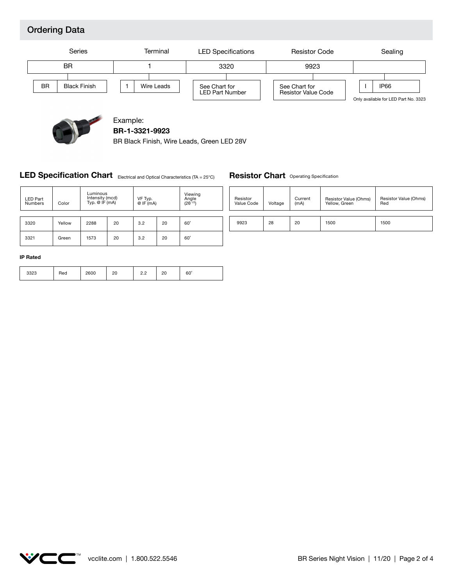## Ordering Data





Example: **BR-1-3321-9923**

BR Black Finish, Wire Leads, Green LED 28V

#### **LED Specification Chart** Electrical and Optical Characteristics (TA = 25°C)

### 3320 | Yellow | 2288 | 20 | 3.2 | 20 | 60° 3321 | Green | 1573 | 20 | 3.2 | 20 | 60° LED Part <br>Numbers Color VF Typ. @ IF (mA) Viewing<br>Angle<br>(2θ <sup>1/2</sup>) Luminous Intensity (mcd) Typ. @ IF (mA)

| <b>Resistor Chart</b> Operating Specification |  |  |
|-----------------------------------------------|--|--|
|-----------------------------------------------|--|--|

| Resistor   | Voltage | Current | Resistor Value (Ohms) | Resistor Value (Ohms) |
|------------|---------|---------|-----------------------|-----------------------|
| Value Code |         | (mA)    | Yellow, Green         | Red                   |
| 9923       | 28      | 20      | 1500                  | 1500                  |

#### **IP Rated**

|  | Red | 2600 | n٢<br>۷<br>__ | $\sim$<br>$\sim$ | or<br>۷J<br>$\sim$ | $60^\circ$ |
|--|-----|------|---------------|------------------|--------------------|------------|
|--|-----|------|---------------|------------------|--------------------|------------|

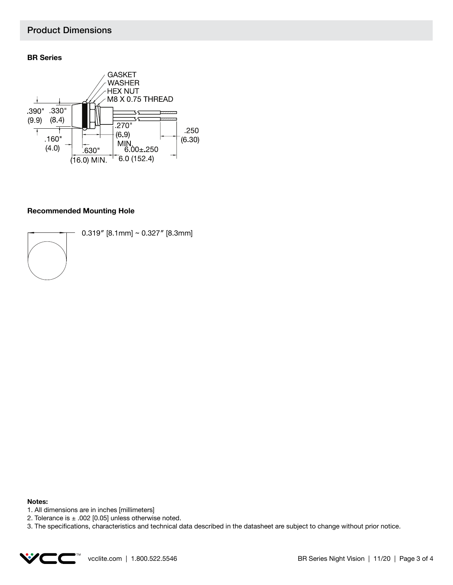#### Product Dimensions

#### **BR Series**



#### **Recommended Mounting Hole**



0.319″ [8.1mm] ~ 0.327″ [8.3mm]

#### **Notes:**

- 1. All dimensions are in inches [millimeters]
- 2. Tolerance is  $\pm$  .002 [0.05] unless otherwise noted.
- 3. The specifications, characteristics and technical data described in the datasheet are subject to change without prior notice.